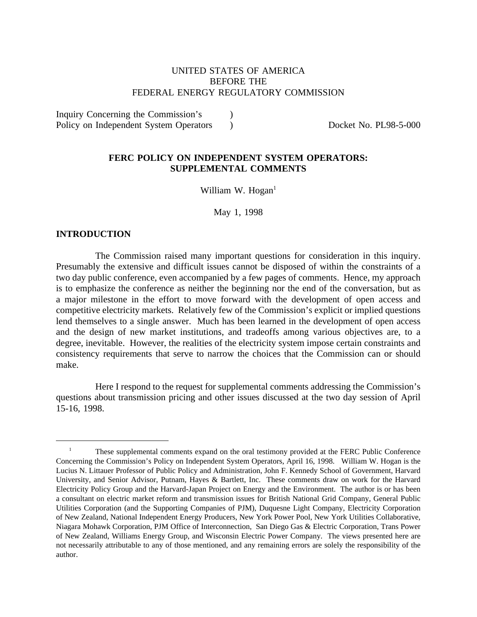# UNITED STATES OF AMERICA BEFORE THE FEDERAL ENERGY REGULATORY COMMISSION

Inquiry Concerning the Commission's ) Policy on Independent System Operators (a) Bocket No. PL98-5-000

## **FERC POLICY ON INDEPENDENT SYSTEM OPERATORS: SUPPLEMENTAL COMMENTS**

William W. Hogan $<sup>1</sup>$ </sup>

May 1, 1998

### **INTRODUCTION**

The Commission raised many important questions for consideration in this inquiry. Presumably the extensive and difficult issues cannot be disposed of within the constraints of a two day public conference, even accompanied by a few pages of comments. Hence, my approach is to emphasize the conference as neither the beginning nor the end of the conversation, but as a major milestone in the effort to move forward with the development of open access and competitive electricity markets. Relatively few of the Commission's explicit or implied questions lend themselves to a single answer. Much has been learned in the development of open access and the design of new market institutions, and tradeoffs among various objectives are, to a degree, inevitable. However, the realities of the electricity system impose certain constraints and consistency requirements that serve to narrow the choices that the Commission can or should make.

Here I respond to the request for supplemental comments addressing the Commission's questions about transmission pricing and other issues discussed at the two day session of April 15-16, 1998.

<sup>&</sup>lt;sup>1</sup> These supplemental comments expand on the oral testimony provided at the FERC Public Conference Concerning the Commission's Policy on Independent System Operators, April 16, 1998. William W. Hogan is the Lucius N. Littauer Professor of Public Policy and Administration, John F. Kennedy School of Government, Harvard University, and Senior Advisor, Putnam, Hayes & Bartlett, Inc. These comments draw on work for the Harvard Electricity Policy Group and the Harvard-Japan Project on Energy and the Environment. The author is or has been a consultant on electric market reform and transmission issues for British National Grid Company, General Public Utilities Corporation (and the Supporting Companies of PJM), Duquesne Light Company, Electricity Corporation of New Zealand, National Independent Energy Producers, New York Power Pool, New York Utilities Collaborative, Niagara Mohawk Corporation, PJM Office of Interconnection, San Diego Gas & Electric Corporation, Trans Power of New Zealand, Williams Energy Group, and Wisconsin Electric Power Company. The views presented here are not necessarily attributable to any of those mentioned, and any remaining errors are solely the responsibility of the author.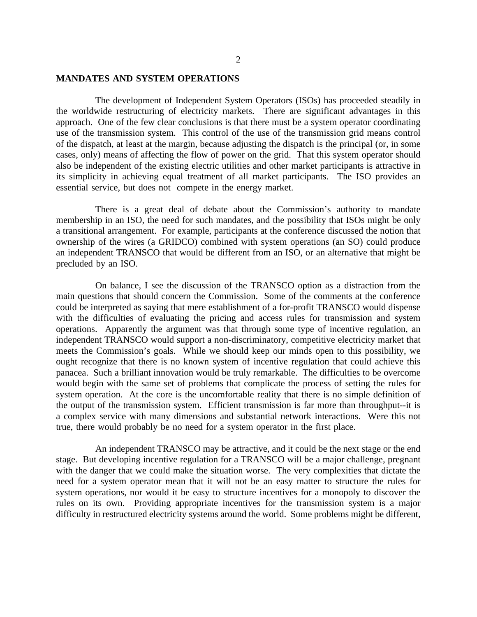#### **MANDATES AND SYSTEM OPERATIONS**

The development of Independent System Operators (ISOs) has proceeded steadily in the worldwide restructuring of electricity markets. There are significant advantages in this approach. One of the few clear conclusions is that there must be a system operator coordinating use of the transmission system. This control of the use of the transmission grid means control of the dispatch, at least at the margin, because adjusting the dispatch is the principal (or, in some cases, only) means of affecting the flow of power on the grid. That this system operator should also be independent of the existing electric utilities and other market participants is attractive in its simplicity in achieving equal treatment of all market participants. The ISO provides an essential service, but does not compete in the energy market.

There is a great deal of debate about the Commission's authority to mandate membership in an ISO, the need for such mandates, and the possibility that ISOs might be only a transitional arrangement. For example, participants at the conference discussed the notion that ownership of the wires (a GRIDCO) combined with system operations (an SO) could produce an independent TRANSCO that would be different from an ISO, or an alternative that might be precluded by an ISO.

On balance, I see the discussion of the TRANSCO option as a distraction from the main questions that should concern the Commission. Some of the comments at the conference could be interpreted as saying that mere establishment of a for-profit TRANSCO would dispense with the difficulties of evaluating the pricing and access rules for transmission and system operations. Apparently the argument was that through some type of incentive regulation, an independent TRANSCO would support a non-discriminatory, competitive electricity market that meets the Commission's goals. While we should keep our minds open to this possibility, we ought recognize that there is no known system of incentive regulation that could achieve this panacea. Such a brilliant innovation would be truly remarkable. The difficulties to be overcome would begin with the same set of problems that complicate the process of setting the rules for system operation. At the core is the uncomfortable reality that there is no simple definition of the output of the transmission system. Efficient transmission is far more than throughput--it is a complex service with many dimensions and substantial network interactions. Were this not true, there would probably be no need for a system operator in the first place.

An independent TRANSCO may be attractive, and it could be the next stage or the end stage. But developing incentive regulation for a TRANSCO will be a major challenge, pregnant with the danger that we could make the situation worse. The very complexities that dictate the need for a system operator mean that it will not be an easy matter to structure the rules for system operations, nor would it be easy to structure incentives for a monopoly to discover the rules on its own. Providing appropriate incentives for the transmission system is a major difficulty in restructured electricity systems around the world. Some problems might be different,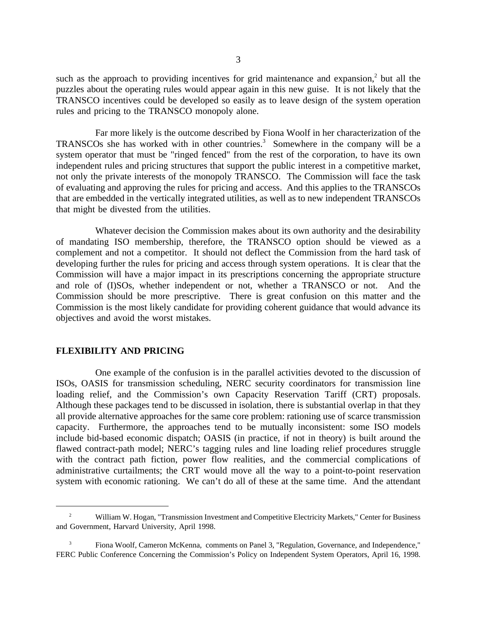such as the approach to providing incentives for grid maintenance and expansion, $2$  but all the puzzles about the operating rules would appear again in this new guise. It is not likely that the TRANSCO incentives could be developed so easily as to leave design of the system operation rules and pricing to the TRANSCO monopoly alone.

Far more likely is the outcome described by Fiona Woolf in her characterization of the TRANSCOs she has worked with in other countries.<sup>3</sup> Somewhere in the company will be a system operator that must be "ringed fenced" from the rest of the corporation, to have its own independent rules and pricing structures that support the public interest in a competitive market, not only the private interests of the monopoly TRANSCO. The Commission will face the task of evaluating and approving the rules for pricing and access. And this applies to the TRANSCOs that are embedded in the vertically integrated utilities, as well as to new independent TRANSCOs that might be divested from the utilities.

Whatever decision the Commission makes about its own authority and the desirability of mandating ISO membership, therefore, the TRANSCO option should be viewed as a complement and not a competitor. It should not deflect the Commission from the hard task of developing further the rules for pricing and access through system operations. It is clear that the Commission will have a major impact in its prescriptions concerning the appropriate structure and role of (I)SOs, whether independent or not, whether a TRANSCO or not. And the Commission should be more prescriptive. There is great confusion on this matter and the Commission is the most likely candidate for providing coherent guidance that would advance its objectives and avoid the worst mistakes.

#### **FLEXIBILITY AND PRICING**

One example of the confusion is in the parallel activities devoted to the discussion of ISOs, OASIS for transmission scheduling, NERC security coordinators for transmission line loading relief, and the Commission's own Capacity Reservation Tariff (CRT) proposals. Although these packages tend to be discussed in isolation, there is substantial overlap in that they all provide alternative approaches for the same core problem: rationing use of scarce transmission capacity. Furthermore, the approaches tend to be mutually inconsistent: some ISO models include bid-based economic dispatch; OASIS (in practice, if not in theory) is built around the flawed contract-path model; NERC's tagging rules and line loading relief procedures struggle with the contract path fiction, power flow realities, and the commercial complications of administrative curtailments; the CRT would move all the way to a point-to-point reservation system with economic rationing. We can't do all of these at the same time. And the attendant

<sup>&</sup>lt;sup>2</sup> William W. Hogan, "Transmission Investment and Competitive Electricity Markets," Center for Business and Government, Harvard University, April 1998.

<sup>&</sup>lt;sup>3</sup> Fiona Woolf, Cameron McKenna, comments on Panel 3, "Regulation, Governance, and Independence," FERC Public Conference Concerning the Commission's Policy on Independent System Operators, April 16, 1998.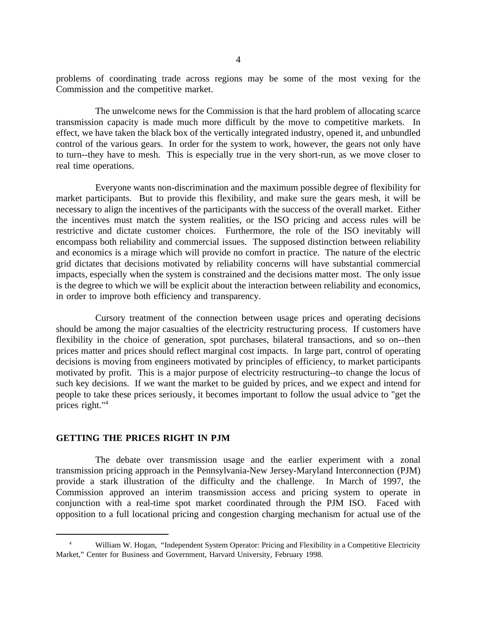problems of coordinating trade across regions may be some of the most vexing for the Commission and the competitive market.

The unwelcome news for the Commission is that the hard problem of allocating scarce transmission capacity is made much more difficult by the move to competitive markets. In effect, we have taken the black box of the vertically integrated industry, opened it, and unbundled control of the various gears. In order for the system to work, however, the gears not only have to turn--they have to mesh. This is especially true in the very short-run, as we move closer to real time operations.

Everyone wants non-discrimination and the maximum possible degree of flexibility for market participants. But to provide this flexibility, and make sure the gears mesh, it will be necessary to align the incentives of the participants with the success of the overall market. Either the incentives must match the system realities, or the ISO pricing and access rules will be restrictive and dictate customer choices. Furthermore, the role of the ISO inevitably will encompass both reliability and commercial issues. The supposed distinction between reliability and economics is a mirage which will provide no comfort in practice. The nature of the electric grid dictates that decisions motivated by reliability concerns will have substantial commercial impacts, especially when the system is constrained and the decisions matter most. The only issue is the degree to which we will be explicit about the interaction between reliability and economics, in order to improve both efficiency and transparency.

Cursory treatment of the connection between usage prices and operating decisions should be among the major casualties of the electricity restructuring process. If customers have flexibility in the choice of generation, spot purchases, bilateral transactions, and so on--then prices matter and prices should reflect marginal cost impacts. In large part, control of operating decisions is moving from engineers motivated by principles of efficiency, to market participants motivated by profit. This is a major purpose of electricity restructuring--to change the locus of such key decisions. If we want the market to be guided by prices, and we expect and intend for people to take these prices seriously, it becomes important to follow the usual advice to "get the prices right."4

#### **GETTING THE PRICES RIGHT IN PJM**

The debate over transmission usage and the earlier experiment with a zonal transmission pricing approach in the Pennsylvania-New Jersey-Maryland Interconnection (PJM) provide a stark illustration of the difficulty and the challenge. In March of 1997, the Commission approved an interim transmission access and pricing system to operate in conjunction with a real-time spot market coordinated through the PJM ISO. Faced with opposition to a full locational pricing and congestion charging mechanism for actual use of the

William W. Hogan, "Independent System Operator: Pricing and Flexibility in a Competitive Electricity Market," Center for Business and Government, Harvard University, February 1998.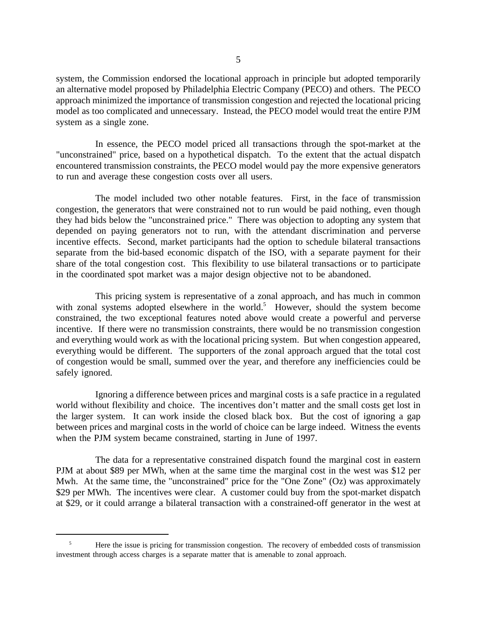system, the Commission endorsed the locational approach in principle but adopted temporarily an alternative model proposed by Philadelphia Electric Company (PECO) and others. The PECO approach minimized the importance of transmission congestion and rejected the locational pricing model as too complicated and unnecessary. Instead, the PECO model would treat the entire PJM system as a single zone.

In essence, the PECO model priced all transactions through the spot-market at the "unconstrained" price, based on a hypothetical dispatch. To the extent that the actual dispatch encountered transmission constraints, the PECO model would pay the more expensive generators to run and average these congestion costs over all users.

The model included two other notable features. First, in the face of transmission congestion, the generators that were constrained not to run would be paid nothing, even though they had bids below the "unconstrained price." There was objection to adopting any system that depended on paying generators not to run, with the attendant discrimination and perverse incentive effects. Second, market participants had the option to schedule bilateral transactions separate from the bid-based economic dispatch of the ISO, with a separate payment for their share of the total congestion cost. This flexibility to use bilateral transactions or to participate in the coordinated spot market was a major design objective not to be abandoned.

This pricing system is representative of a zonal approach, and has much in common with zonal systems adopted elsewhere in the world.<sup>5</sup> However, should the system become constrained, the two exceptional features noted above would create a powerful and perverse incentive. If there were no transmission constraints, there would be no transmission congestion and everything would work as with the locational pricing system. But when congestion appeared, everything would be different. The supporters of the zonal approach argued that the total cost of congestion would be small, summed over the year, and therefore any inefficiencies could be safely ignored.

Ignoring a difference between prices and marginal costs is a safe practice in a regulated world without flexibility and choice. The incentives don't matter and the small costs get lost in the larger system. It can work inside the closed black box. But the cost of ignoring a gap between prices and marginal costs in the world of choice can be large indeed. Witness the events when the PJM system became constrained, starting in June of 1997.

The data for a representative constrained dispatch found the marginal cost in eastern PJM at about \$89 per MWh, when at the same time the marginal cost in the west was \$12 per Mwh. At the same time, the "unconstrained" price for the "One Zone" (Oz) was approximately \$29 per MWh. The incentives were clear. A customer could buy from the spot-market dispatch at \$29, or it could arrange a bilateral transaction with a constrained-off generator in the west at

<sup>5</sup> Here the issue is pricing for transmission congestion. The recovery of embedded costs of transmission investment through access charges is a separate matter that is amenable to zonal approach.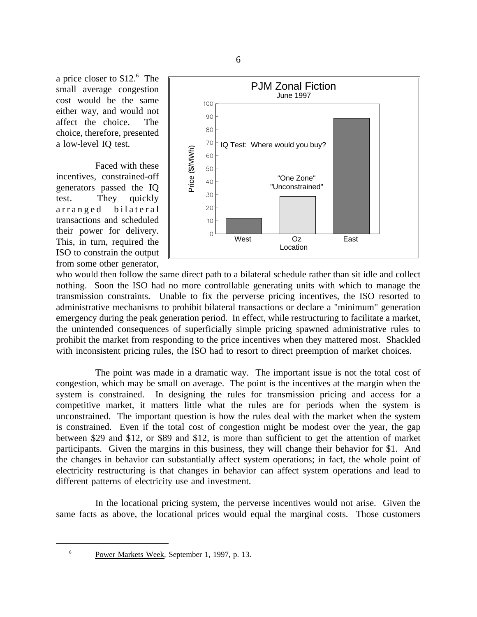a price closer to \$12.6 The small average congestion cost would be the same either way, and would not affect the choice. The choice, therefore, presented a low-level IQ test.

Faced with these incentives, constrained-off generators passed the IQ test. They quickly arranged bilateral transactions and scheduled their power for delivery. This, in turn, required the ISO to constrain the output from some other generator,



who would then follow the same direct path to a bilateral schedule rather than sit idle and collect nothing. Soon the ISO had no more controllable generating units with which to manage the transmission constraints. Unable to fix the perverse pricing incentives, the ISO resorted to administrative mechanisms to prohibit bilateral transactions or declare a "minimum" generation emergency during the peak generation period. In effect, while restructuring to facilitate a market, the unintended consequences of superficially simple pricing spawned administrative rules to prohibit the market from responding to the price incentives when they mattered most. Shackled with inconsistent pricing rules, the ISO had to resort to direct preemption of market choices.

The point was made in a dramatic way. The important issue is not the total cost of congestion, which may be small on average. The point is the incentives at the margin when the system is constrained. In designing the rules for transmission pricing and access for a competitive market, it matters little what the rules are for periods when the system is unconstrained. The important question is how the rules deal with the market when the system is constrained. Even if the total cost of congestion might be modest over the year, the gap between \$29 and \$12, or \$89 and \$12, is more than sufficient to get the attention of market participants. Given the margins in this business, they will change their behavior for \$1. And the changes in behavior can substantially affect system operations; in fact, the whole point of electricity restructuring is that changes in behavior can affect system operations and lead to different patterns of electricity use and investment.

In the locational pricing system, the perverse incentives would not arise. Given the same facts as above, the locational prices would equal the marginal costs. Those customers

<sup>6</sup> Power Markets Week, September 1, 1997, p. 13.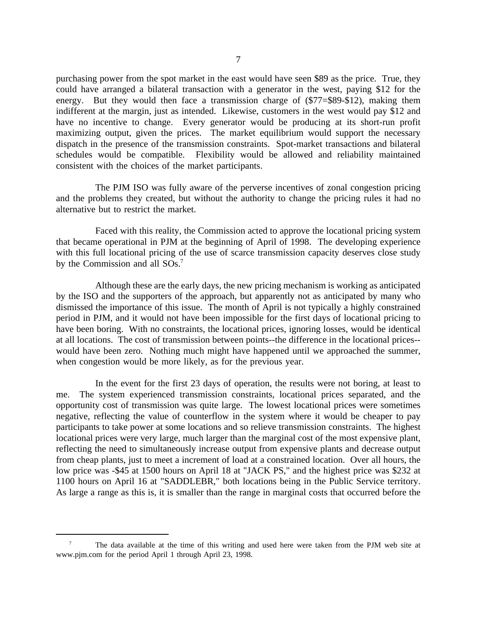purchasing power from the spot market in the east would have seen \$89 as the price. True, they could have arranged a bilateral transaction with a generator in the west, paying \$12 for the energy. But they would then face a transmission charge of (\$77=\$89-\$12), making them indifferent at the margin, just as intended. Likewise, customers in the west would pay \$12 and have no incentive to change. Every generator would be producing at its short-run profit maximizing output, given the prices. The market equilibrium would support the necessary dispatch in the presence of the transmission constraints. Spot-market transactions and bilateral schedules would be compatible. Flexibility would be allowed and reliability maintained consistent with the choices of the market participants.

The PJM ISO was fully aware of the perverse incentives of zonal congestion pricing and the problems they created, but without the authority to change the pricing rules it had no alternative but to restrict the market.

Faced with this reality, the Commission acted to approve the locational pricing system that became operational in PJM at the beginning of April of 1998. The developing experience with this full locational pricing of the use of scarce transmission capacity deserves close study by the Commission and all SOs.<sup>7</sup>

Although these are the early days, the new pricing mechanism is working as anticipated by the ISO and the supporters of the approach, but apparently not as anticipated by many who dismissed the importance of this issue. The month of April is not typically a highly constrained period in PJM, and it would not have been impossible for the first days of locational pricing to have been boring. With no constraints, the locational prices, ignoring losses, would be identical at all locations. The cost of transmission between points--the difference in the locational prices- would have been zero. Nothing much might have happened until we approached the summer, when congestion would be more likely, as for the previous year.

In the event for the first 23 days of operation, the results were not boring, at least to me. The system experienced transmission constraints, locational prices separated, and the opportunity cost of transmission was quite large. The lowest locational prices were sometimes negative, reflecting the value of counterflow in the system where it would be cheaper to pay participants to take power at some locations and so relieve transmission constraints. The highest locational prices were very large, much larger than the marginal cost of the most expensive plant, reflecting the need to simultaneously increase output from expensive plants and decrease output from cheap plants, just to meet a increment of load at a constrained location. Over all hours, the low price was -\$45 at 1500 hours on April 18 at "JACK PS," and the highest price was \$232 at 1100 hours on April 16 at "SADDLEBR," both locations being in the Public Service territory. As large a range as this is, it is smaller than the range in marginal costs that occurred before the

<sup>7</sup> The data available at the time of this writing and used here were taken from the PJM web site at www.pjm.com for the period April 1 through April 23, 1998.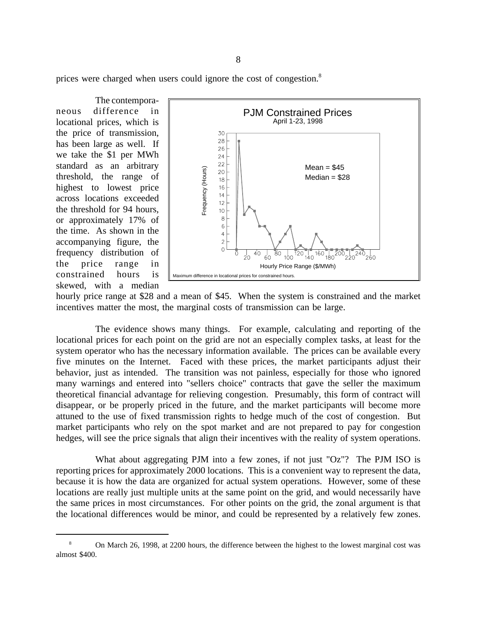prices were charged when users could ignore the cost of congestion.<sup>8</sup>

The contemporaneous difference in locational prices, which is the price of transmission, has been large as well. If we take the \$1 per MWh standard as an arbitrary threshold, the range of highest to lowest price across locations exceeded the threshold for 94 hours, or approximately 17% of the time. As shown in the accompanying figure, the frequency distribution of the price range in constrained hours is skewed, with a median



hourly price range at \$28 and a mean of \$45. When the system is constrained and the market incentives matter the most, the marginal costs of transmission can be large.

The evidence shows many things. For example, calculating and reporting of the locational prices for each point on the grid are not an especially complex tasks, at least for the system operator who has the necessary information available. The prices can be available every five minutes on the Internet. Faced with these prices, the market participants adjust their behavior, just as intended. The transition was not painless, especially for those who ignored many warnings and entered into "sellers choice" contracts that gave the seller the maximum theoretical financial advantage for relieving congestion. Presumably, this form of contract will disappear, or be properly priced in the future, and the market participants will become more attuned to the use of fixed transmission rights to hedge much of the cost of congestion. But market participants who rely on the spot market and are not prepared to pay for congestion hedges, will see the price signals that align their incentives with the reality of system operations.

What about aggregating PJM into a few zones, if not just "Oz"? The PJM ISO is reporting prices for approximately 2000 locations. This is a convenient way to represent the data, because it is how the data are organized for actual system operations. However, some of these locations are really just multiple units at the same point on the grid, and would necessarily have the same prices in most circumstances. For other points on the grid, the zonal argument is that the locational differences would be minor, and could be represented by a relatively few zones.

<sup>8</sup> On March 26, 1998, at 2200 hours, the difference between the highest to the lowest marginal cost was almost \$400.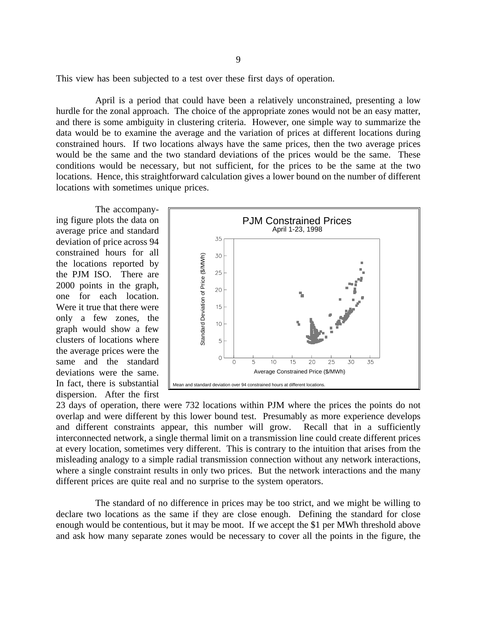This view has been subjected to a test over these first days of operation.

April is a period that could have been a relatively unconstrained, presenting a low hurdle for the zonal approach. The choice of the appropriate zones would not be an easy matter, and there is some ambiguity in clustering criteria. However, one simple way to summarize the data would be to examine the average and the variation of prices at different locations during constrained hours. If two locations always have the same prices, then the two average prices would be the same and the two standard deviations of the prices would be the same. These conditions would be necessary, but not sufficient, for the prices to be the same at the two locations. Hence, this straightforward calculation gives a lower bound on the number of different locations with sometimes unique prices.

The accompanying figure plots the data on average price and standard deviation of price across 94 constrained hours for all the locations reported by the PJM ISO. There are 2000 points in the graph, one for each location. Were it true that there were only a few zones, the graph would show a few clusters of locations where the average prices were the same and the standard deviations were the same. In fact, there is substantial dispersion. After the first



23 days of operation, there were 732 locations within PJM where the prices the points do not overlap and were different by this lower bound test. Presumably as more experience develops and different constraints appear, this number will grow. Recall that in a sufficiently interconnected network, a single thermal limit on a transmission line could create different prices at every location, sometimes very different. This is contrary to the intuition that arises from the misleading analogy to a simple radial transmission connection without any network interactions, where a single constraint results in only two prices. But the network interactions and the many different prices are quite real and no surprise to the system operators.

The standard of no difference in prices may be too strict, and we might be willing to declare two locations as the same if they are close enough. Defining the standard for close enough would be contentious, but it may be moot. If we accept the \$1 per MWh threshold above and ask how many separate zones would be necessary to cover all the points in the figure, the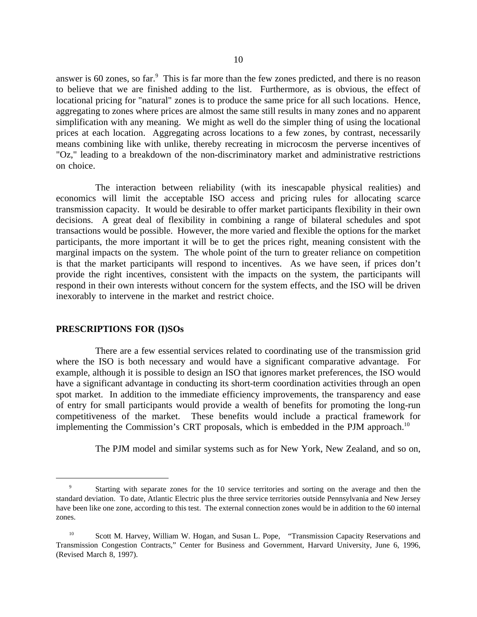answer is 60 zones, so far.<sup>9</sup> This is far more than the few zones predicted, and there is no reason to believe that we are finished adding to the list. Furthermore, as is obvious, the effect of locational pricing for "natural" zones is to produce the same price for all such locations. Hence, aggregating to zones where prices are almost the same still results in many zones and no apparent simplification with any meaning. We might as well do the simpler thing of using the locational prices at each location. Aggregating across locations to a few zones, by contrast, necessarily means combining like with unlike, thereby recreating in microcosm the perverse incentives of "Oz," leading to a breakdown of the non-discriminatory market and administrative restrictions on choice.

The interaction between reliability (with its inescapable physical realities) and economics will limit the acceptable ISO access and pricing rules for allocating scarce transmission capacity. It would be desirable to offer market participants flexibility in their own decisions. A great deal of flexibility in combining a range of bilateral schedules and spot transactions would be possible. However, the more varied and flexible the options for the market participants, the more important it will be to get the prices right, meaning consistent with the marginal impacts on the system. The whole point of the turn to greater reliance on competition is that the market participants will respond to incentives. As we have seen, if prices don't provide the right incentives, consistent with the impacts on the system, the participants will respond in their own interests without concern for the system effects, and the ISO will be driven inexorably to intervene in the market and restrict choice.

## **PRESCRIPTIONS FOR (I)SOs**

There are a few essential services related to coordinating use of the transmission grid where the ISO is both necessary and would have a significant comparative advantage. For example, although it is possible to design an ISO that ignores market preferences, the ISO would have a significant advantage in conducting its short-term coordination activities through an open spot market. In addition to the immediate efficiency improvements, the transparency and ease of entry for small participants would provide a wealth of benefits for promoting the long-run competitiveness of the market. These benefits would include a practical framework for implementing the Commission's CRT proposals, which is embedded in the PJM approach.<sup>10</sup>

The PJM model and similar systems such as for New York, New Zealand, and so on,

<sup>&</sup>lt;sup>9</sup> Starting with separate zones for the 10 service territories and sorting on the average and then the standard deviation. To date, Atlantic Electric plus the three service territories outside Pennsylvania and New Jersey have been like one zone, according to this test. The external connection zones would be in addition to the 60 internal zones.

<sup>&</sup>lt;sup>10</sup> Scott M. Harvey, William W. Hogan, and Susan L. Pope, "Transmission Capacity Reservations and Transmission Congestion Contracts," Center for Business and Government, Harvard University, June 6, 1996, (Revised March 8, 1997).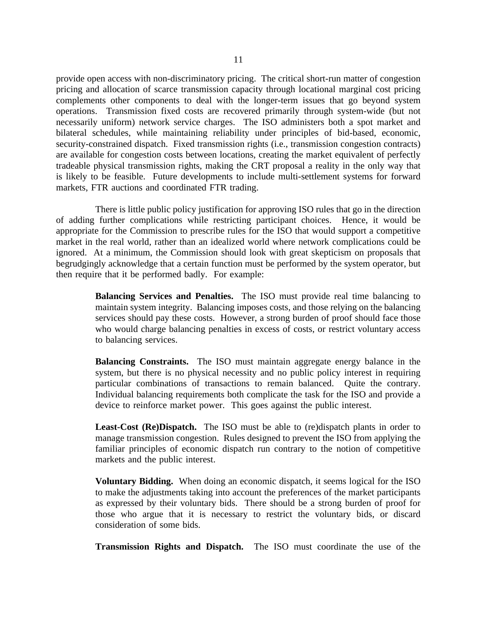provide open access with non-discriminatory pricing. The critical short-run matter of congestion pricing and allocation of scarce transmission capacity through locational marginal cost pricing complements other components to deal with the longer-term issues that go beyond system operations. Transmission fixed costs are recovered primarily through system-wide (but not necessarily uniform) network service charges. The ISO administers both a spot market and bilateral schedules, while maintaining reliability under principles of bid-based, economic, security-constrained dispatch. Fixed transmission rights (i.e., transmission congestion contracts) are available for congestion costs between locations, creating the market equivalent of perfectly tradeable physical transmission rights, making the CRT proposal a reality in the only way that is likely to be feasible. Future developments to include multi-settlement systems for forward markets, FTR auctions and coordinated FTR trading.

There is little public policy justification for approving ISO rules that go in the direction of adding further complications while restricting participant choices. Hence, it would be appropriate for the Commission to prescribe rules for the ISO that would support a competitive market in the real world, rather than an idealized world where network complications could be ignored. At a minimum, the Commission should look with great skepticism on proposals that begrudgingly acknowledge that a certain function must be performed by the system operator, but then require that it be performed badly. For example:

> **Balancing Services and Penalties.** The ISO must provide real time balancing to maintain system integrity. Balancing imposes costs, and those relying on the balancing services should pay these costs. However, a strong burden of proof should face those who would charge balancing penalties in excess of costs, or restrict voluntary access to balancing services.

> **Balancing Constraints.** The ISO must maintain aggregate energy balance in the system, but there is no physical necessity and no public policy interest in requiring particular combinations of transactions to remain balanced. Quite the contrary. Individual balancing requirements both complicate the task for the ISO and provide a device to reinforce market power. This goes against the public interest.

> **Least-Cost (Re)Dispatch.** The ISO must be able to (re)dispatch plants in order to manage transmission congestion. Rules designed to prevent the ISO from applying the familiar principles of economic dispatch run contrary to the notion of competitive markets and the public interest.

> **Voluntary Bidding.** When doing an economic dispatch, it seems logical for the ISO to make the adjustments taking into account the preferences of the market participants as expressed by their voluntary bids. There should be a strong burden of proof for those who argue that it is necessary to restrict the voluntary bids, or discard consideration of some bids.

> **Transmission Rights and Dispatch.** The ISO must coordinate the use of the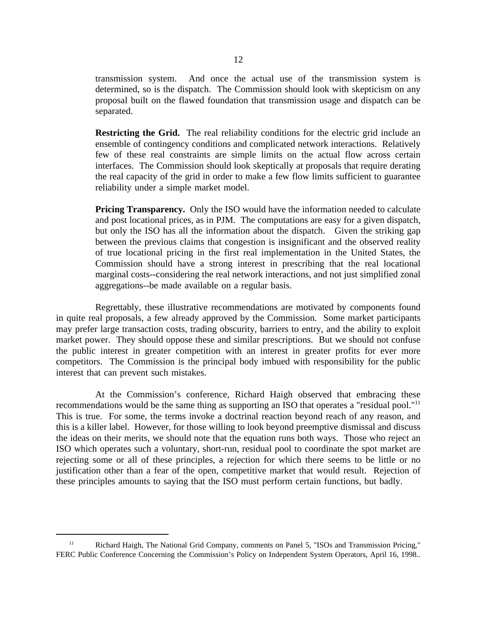transmission system. And once the actual use of the transmission system is determined, so is the dispatch. The Commission should look with skepticism on any proposal built on the flawed foundation that transmission usage and dispatch can be separated.

**Restricting the Grid.** The real reliability conditions for the electric grid include an ensemble of contingency conditions and complicated network interactions. Relatively few of these real constraints are simple limits on the actual flow across certain interfaces. The Commission should look skeptically at proposals that require derating the real capacity of the grid in order to make a few flow limits sufficient to guarantee reliability under a simple market model.

**Pricing Transparency.** Only the ISO would have the information needed to calculate and post locational prices, as in PJM. The computations are easy for a given dispatch, but only the ISO has all the information about the dispatch. Given the striking gap between the previous claims that congestion is insignificant and the observed reality of true locational pricing in the first real implementation in the United States, the Commission should have a strong interest in prescribing that the real locational marginal costs--considering the real network interactions, and not just simplified zonal aggregations--be made available on a regular basis.

Regrettably, these illustrative recommendations are motivated by components found in quite real proposals, a few already approved by the Commission. Some market participants may prefer large transaction costs, trading obscurity, barriers to entry, and the ability to exploit market power. They should oppose these and similar prescriptions. But we should not confuse the public interest in greater competition with an interest in greater profits for ever more competitors. The Commission is the principal body imbued with responsibility for the public interest that can prevent such mistakes.

At the Commission's conference, Richard Haigh observed that embracing these recommendations would be the same thing as supporting an ISO that operates a "residual pool."<sup>11</sup> This is true. For some, the terms invoke a doctrinal reaction beyond reach of any reason, and this is a killer label. However, for those willing to look beyond preemptive dismissal and discuss the ideas on their merits, we should note that the equation runs both ways. Those who reject an ISO which operates such a voluntary, short-run, residual pool to coordinate the spot market are rejecting some or all of these principles, a rejection for which there seems to be little or no justification other than a fear of the open, competitive market that would result. Rejection of these principles amounts to saying that the ISO must perform certain functions, but badly.

<sup>&</sup>lt;sup>11</sup> Richard Haigh, The National Grid Company, comments on Panel 5, "ISOs and Transmission Pricing," FERC Public Conference Concerning the Commission's Policy on Independent System Operators, April 16, 1998..